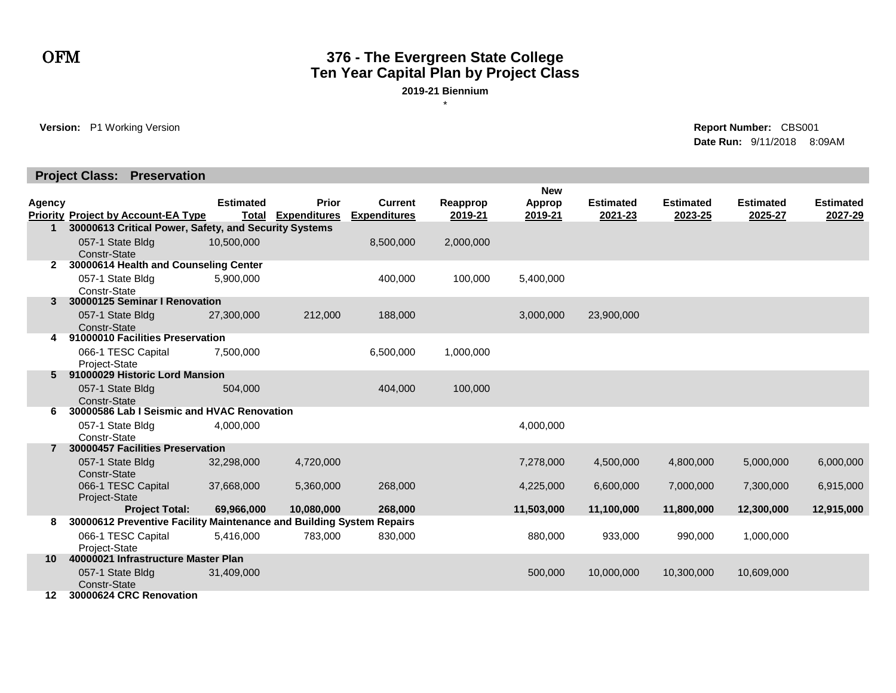## OFM **376 - The Evergreen State College Ten Year Capital Plan by Project Class**

**2019-21 Biennium** \*

**Version:** P1 Working Version **Report Number:** CBS001

**Date Run:** 9/11/2018 8:09AM

#### **Project Class: Preservation**

|        |                                                                      |                  |                           |                     |           | <b>New</b>    |                  |                  |                  |                  |
|--------|----------------------------------------------------------------------|------------------|---------------------------|---------------------|-----------|---------------|------------------|------------------|------------------|------------------|
| Agency |                                                                      | <b>Estimated</b> | <b>Prior</b>              | <b>Current</b>      | Reapprop  | <b>Approp</b> | <b>Estimated</b> | <b>Estimated</b> | <b>Estimated</b> | <b>Estimated</b> |
|        | <b>Priority Project by Account-EA Type</b>                           |                  | <b>Total Expenditures</b> | <b>Expenditures</b> | 2019-21   | 2019-21       | 2021-23          | 2023-25          | 2025-27          | 2027-29          |
| 1      | 30000613 Critical Power, Safety, and Security Systems                |                  |                           |                     |           |               |                  |                  |                  |                  |
|        | 057-1 State Bldg                                                     | 10,500,000       |                           | 8,500,000           | 2,000,000 |               |                  |                  |                  |                  |
|        | Constr-State                                                         |                  |                           |                     |           |               |                  |                  |                  |                  |
| 2      | 30000614 Health and Counseling Center                                |                  |                           |                     |           |               |                  |                  |                  |                  |
|        | 057-1 State Bldg                                                     | 5.900.000        |                           | 400,000             | 100.000   | 5,400,000     |                  |                  |                  |                  |
|        | Constr-State                                                         |                  |                           |                     |           |               |                  |                  |                  |                  |
| 3      | 30000125 Seminar I Renovation                                        |                  |                           |                     |           |               |                  |                  |                  |                  |
|        | 057-1 State Bldg                                                     | 27,300,000       | 212,000                   | 188,000             |           | 3,000,000     | 23,900,000       |                  |                  |                  |
|        | Constr-State<br>91000010 Facilities Preservation                     |                  |                           |                     |           |               |                  |                  |                  |                  |
| 4      |                                                                      |                  |                           |                     |           |               |                  |                  |                  |                  |
|        | 066-1 TESC Capital                                                   | 7,500,000        |                           | 6,500,000           | 1,000,000 |               |                  |                  |                  |                  |
| 5.     | Project-State<br>91000029 Historic Lord Mansion                      |                  |                           |                     |           |               |                  |                  |                  |                  |
|        |                                                                      |                  |                           |                     |           |               |                  |                  |                  |                  |
|        | 057-1 State Bldg<br>Constr-State                                     | 504,000          |                           | 404,000             | 100,000   |               |                  |                  |                  |                  |
| 6      | 30000586 Lab I Seismic and HVAC Renovation                           |                  |                           |                     |           |               |                  |                  |                  |                  |
|        | 057-1 State Bldg                                                     | 4,000,000        |                           |                     |           | 4,000,000     |                  |                  |                  |                  |
|        | Constr-State                                                         |                  |                           |                     |           |               |                  |                  |                  |                  |
|        | 30000457 Facilities Preservation                                     |                  |                           |                     |           |               |                  |                  |                  |                  |
|        | 057-1 State Bldg                                                     | 32,298,000       | 4,720,000                 |                     |           | 7,278,000     | 4,500,000        | 4,800,000        | 5,000,000        | 6,000,000        |
|        | Constr-State                                                         |                  |                           |                     |           |               |                  |                  |                  |                  |
|        | 066-1 TESC Capital                                                   | 37,668,000       | 5,360,000                 | 268,000             |           | 4,225,000     | 6,600,000        | 7,000,000        | 7,300,000        | 6,915,000        |
|        | Project-State                                                        |                  |                           |                     |           |               |                  |                  |                  |                  |
|        | <b>Project Total:</b>                                                | 69,966,000       | 10,080,000                | 268,000             |           | 11,503,000    | 11,100,000       | 11,800,000       | 12,300,000       | 12,915,000       |
| 8      | 30000612 Preventive Facility Maintenance and Building System Repairs |                  |                           |                     |           |               |                  |                  |                  |                  |
|        | 066-1 TESC Capital                                                   | 5,416,000        | 783,000                   | 830,000             |           | 880,000       | 933,000          | 990,000          | 1,000,000        |                  |
|        | Project-State                                                        |                  |                           |                     |           |               |                  |                  |                  |                  |
| 10     | 40000021 Infrastructure Master Plan                                  |                  |                           |                     |           |               |                  |                  |                  |                  |
|        | 057-1 State Bldg                                                     | 31,409,000       |                           |                     |           | 500,000       | 10,000,000       | 10,300,000       | 10,609,000       |                  |
|        | Constr-State                                                         |                  |                           |                     |           |               |                  |                  |                  |                  |
| 12     | 30000624 CRC Renovation                                              |                  |                           |                     |           |               |                  |                  |                  |                  |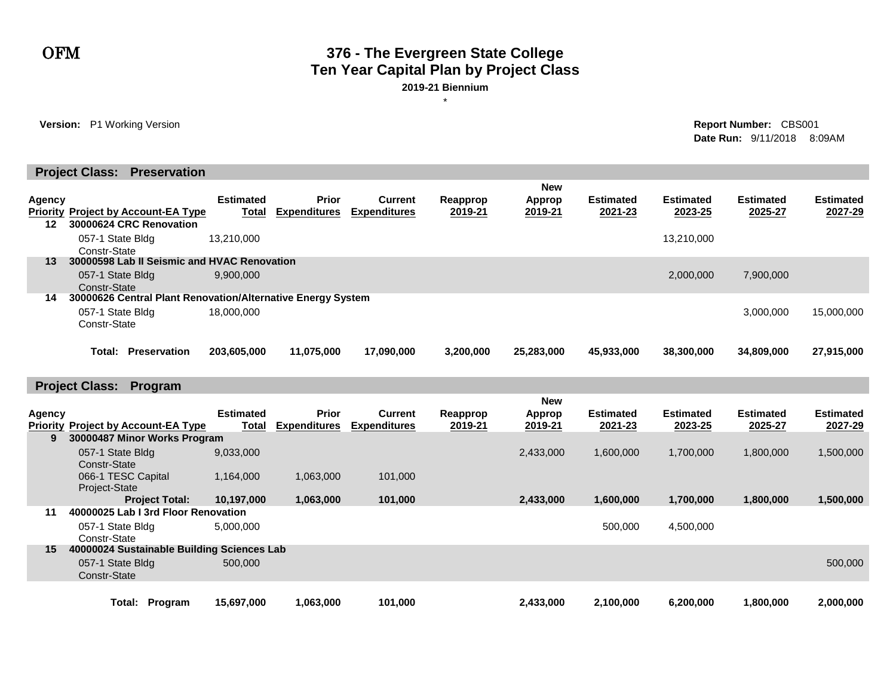#### OFM **376 - The Evergreen State College Ten Year Capital Plan by Project Class 2019-21 Biennium**

\*

**Version:** P1 Working Version **Report Number:** CBS001

**Date Run:** 9/11/2018 8:09AM

|               | <b>Project Class: Preservation</b>                          |                                  |                                     |                                       |                     |                   |                             |                             |                             |                             |
|---------------|-------------------------------------------------------------|----------------------------------|-------------------------------------|---------------------------------------|---------------------|-------------------|-----------------------------|-----------------------------|-----------------------------|-----------------------------|
|               |                                                             |                                  |                                     |                                       |                     | <b>New</b>        |                             |                             |                             |                             |
| <b>Agency</b> |                                                             | <b>Estimated</b>                 | <b>Prior</b>                        | <b>Current</b>                        | Reapprop            | <b>Approp</b>     | <b>Estimated</b>            | <b>Estimated</b>            | <b>Estimated</b>            | <b>Estimated</b>            |
|               | <b>Priority Project by Account-EA Type</b>                  | <b>Total</b>                     | <b>Expenditures</b>                 | <b>Expenditures</b>                   | 2019-21             | 2019-21           | 2021-23                     | 2023-25                     | 2025-27                     | 2027-29                     |
| 12            | 30000624 CRC Renovation                                     |                                  |                                     |                                       |                     |                   |                             |                             |                             |                             |
|               | 057-1 State Bldg<br>Constr-State                            | 13.210.000                       |                                     |                                       |                     |                   |                             | 13,210,000                  |                             |                             |
| 13            | 30000598 Lab II Seismic and HVAC Renovation                 |                                  |                                     |                                       |                     |                   |                             |                             |                             |                             |
|               | 057-1 State Bldg                                            | 9,900,000                        |                                     |                                       |                     |                   |                             | 2,000,000                   | 7,900,000                   |                             |
|               | Constr-State                                                |                                  |                                     |                                       |                     |                   |                             |                             |                             |                             |
| 14            | 30000626 Central Plant Renovation/Alternative Energy System |                                  |                                     |                                       |                     |                   |                             |                             |                             |                             |
|               | 057-1 State Bldg<br>Constr-State                            | 18,000,000                       |                                     |                                       |                     |                   |                             |                             | 3,000,000                   | 15,000,000                  |
|               |                                                             |                                  |                                     |                                       |                     |                   |                             |                             |                             |                             |
|               | <b>Total: Preservation</b>                                  | 203,605,000                      | 11,075,000                          | 17,090,000                            | 3,200,000           | 25,283,000        | 45,933,000                  | 38,300,000                  | 34,809,000                  | 27,915,000                  |
|               |                                                             |                                  |                                     |                                       |                     |                   |                             |                             |                             |                             |
|               |                                                             |                                  |                                     |                                       |                     |                   |                             |                             |                             |                             |
|               | <b>Project Class: Program</b>                               |                                  |                                     |                                       |                     |                   |                             |                             |                             |                             |
|               |                                                             |                                  |                                     |                                       |                     | <b>New</b>        |                             |                             |                             |                             |
| <b>Agency</b> | <b>Priority Project by Account-EA Type</b>                  | <b>Estimated</b><br><b>Total</b> | <b>Prior</b><br><b>Expenditures</b> | <b>Current</b><br><b>Expenditures</b> | Reapprop<br>2019-21 | Approp<br>2019-21 | <b>Estimated</b><br>2021-23 | <b>Estimated</b><br>2023-25 | <b>Estimated</b><br>2025-27 | <b>Estimated</b><br>2027-29 |
| 9             | 30000487 Minor Works Program                                |                                  |                                     |                                       |                     |                   |                             |                             |                             |                             |
|               | 057-1 State Bldg                                            | 9,033,000                        |                                     |                                       |                     | 2,433,000         | 1,600,000                   | 1,700,000                   | 1,800,000                   | 1,500,000                   |
|               | Constr-State                                                |                                  |                                     |                                       |                     |                   |                             |                             |                             |                             |
|               | 066-1 TESC Capital                                          | 1,164,000                        | 1,063,000                           | 101,000                               |                     |                   |                             |                             |                             |                             |
|               | Project-State<br><b>Project Total:</b>                      | 10.197.000                       |                                     |                                       |                     |                   |                             |                             |                             |                             |
| 11            | 40000025 Lab I 3rd Floor Renovation                         |                                  | 1,063,000                           | 101,000                               |                     | 2.433,000         | 1.600.000                   | 1.700.000                   | 1,800,000                   | 1,500,000                   |
|               | 057-1 State Bldg                                            | 5,000,000                        |                                     |                                       |                     |                   | 500,000                     | 4,500,000                   |                             |                             |
|               | Constr-State                                                |                                  |                                     |                                       |                     |                   |                             |                             |                             |                             |
| 15            | 40000024 Sustainable Building Sciences Lab                  |                                  |                                     |                                       |                     |                   |                             |                             |                             |                             |
|               |                                                             |                                  |                                     |                                       |                     |                   |                             |                             |                             |                             |
|               | 057-1 State Bldg<br>Constr-State                            | 500,000                          |                                     |                                       |                     |                   |                             |                             |                             | 500,000                     |
|               |                                                             |                                  |                                     |                                       |                     |                   |                             |                             |                             |                             |